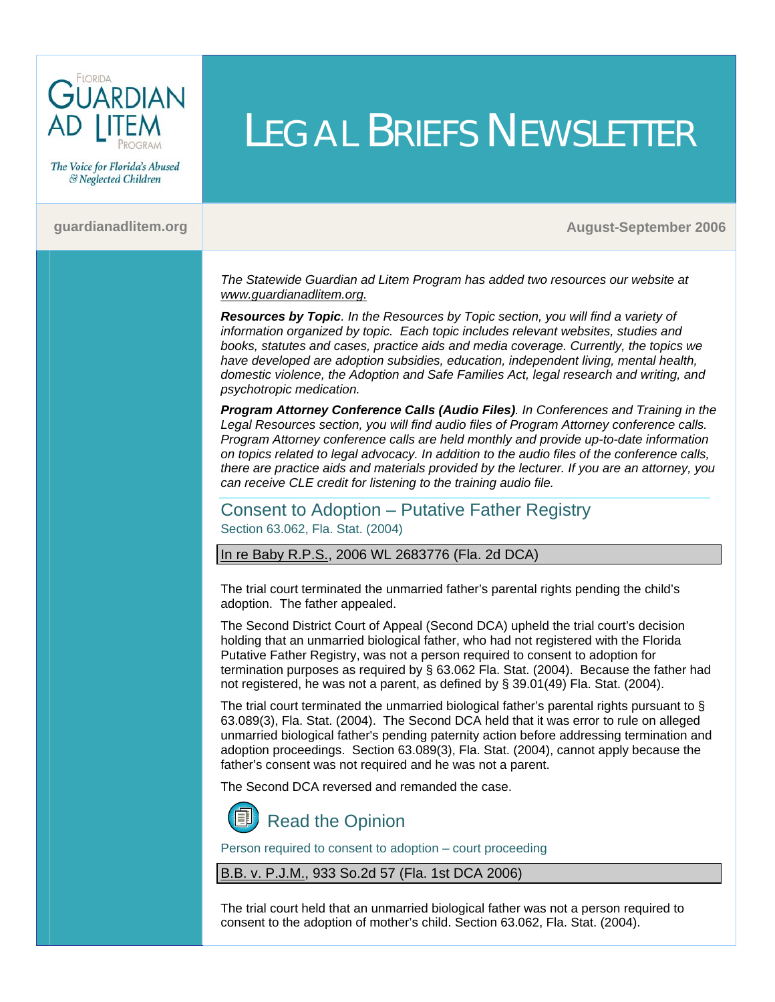

The Voice for Florida's Abused & Neglected Children

**Contract Contract Contract Contract** 

#### **[guardianadlitem.org](http://guardianadlitem.org/) August-September 2006**

*The Statewide Guardian ad Litem Program has added two resources our website at [www.guardianadlitem.org.](http://www.guardianadlitem.org/)*

LEGAL BRIEFS NEWSLETTER

*[Resources by Topic](http://www.guardianadlitem.org/resources_main.asp). In the Resources by Topic section, you will find a variety of information organized by topic. Each topic includes relevant websites, studies and books, statutes and cases, practice aids and media coverage. Currently, the topics we have developed are adoption subsidies, education, independent living, mental health, domestic violence, the Adoption and Safe Families Act, legal research and writing, and psychotropic medication.* 

*[Program Attorney Conference Calls \(Audio Files\)](http://www.guardianadlitem.org/att_conf_train.asp). In Conferences and Training in the Legal Resources section, you will find audio files of Program Attorney conference calls. Program Attorney conference calls are held monthly and provide up-to-date information on topics related to legal advocacy. In addition to the audio files of the conference calls, there are practice aids and materials provided by the lecturer. If you are an attorney, you can receive CLE credit for listening to the training audio file.* 

## Consent to Adoption – Putative Father Registry Section 63.062, Fla. Stat. (2004)

In re Baby R.P.S., 2006 WL 2683776 (Fla. 2d DCA)

The trial court terminated the unmarried father's parental rights pending the child's adoption. The father appealed.

The Second District Court of Appeal (Second DCA) upheld the trial court's decision holding that an unmarried biological father, who had not registered with the Florida Putative Father Registry, was not a person required to consent to adoption for termination purposes as required by § 63.062 Fla. Stat. (2004). Because the father had not registered, he was not a parent, as defined by § 39.01(49) Fla. Stat. (2004).

The trial court terminated the unmarried biological father's parental rights pursuant to § 63.089(3), Fla. Stat. (2004). The Second DCA held that it was error to rule on alleged unmarried biological father's pending paternity action before addressing termination and adoption proceedings. Section 63.089(3), Fla. Stat. (2004), cannot apply because the father's consent was not required and he was not a parent.

The Second DCA reversed and remanded the case.



# [Read the Opinion](http://www.2dca.org/opinion/September%2020,%202006/2D05-2582.pdf)

Person required to consent to adoption – court proceeding

B.B. v. P.J.M., 933 So.2d 57 (Fla. 1st DCA 2006)

The trial court held that an unmarried biological father was not a person required to consent to the adoption of mother's child. Section 63.062, Fla. Stat. (2004).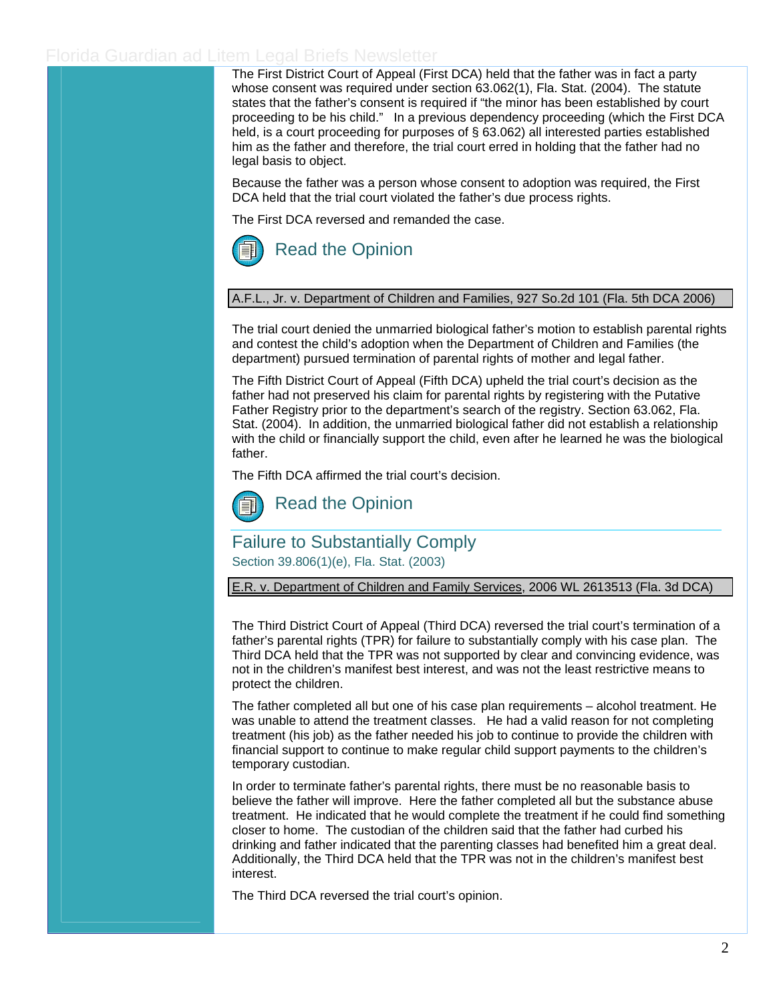The First District Court of Appeal (First DCA) held that the father was in fact a party whose consent was required under section 63.062(1), Fla. Stat. (2004). The statute states that the father's consent is required if "the minor has been established by court proceeding to be his child." In a previous dependency proceeding (which the First DCA held, is a court proceeding for purposes of § 63.062) all interested parties established him as the father and therefore, the trial court erred in holding that the father had no legal basis to object.

Because the father was a person whose consent to adoption was required, the First DCA held that the trial court violated the father's due process rights.

The First DCA reversed and remanded the case.



A.F.L., Jr. v. Department of Children and Families, 927 So.2d 101 (Fla. 5th DCA 2006)

The trial court denied the unmarried biological father's motion to establish parental rights and contest the child's adoption when the Department of Children and Families (the department) pursued termination of parental rights of mother and legal father.

The Fifth District Court of Appeal (Fifth DCA) upheld the trial court's decision as the father had not preserved his claim for parental rights by registering with the Putative Father Registry prior to the department's search of the registry. Section 63.062, Fla. Stat. (2004). In addition, the unmarried biological father did not establish a relationship with the child or financially support the child, even after he learned he was the biological father.

The Fifth DCA affirmed the trial court's decision.



## Failure to Substantially Comply

Section 39.806(1)(e), Fla. Stat. (2003)

E.R. v. Department of Children and Family Services, 2006 WL 2613513 (Fla. 3d DCA)

The Third District Court of Appeal (Third DCA) reversed the trial court's termination of a father's parental rights (TPR) for failure to substantially comply with his case plan. The Third DCA held that the TPR was not supported by clear and convincing evidence, was not in the children's manifest best interest, and was not the least restrictive means to protect the children.

The father completed all but one of his case plan requirements – alcohol treatment. He was unable to attend the treatment classes. He had a valid reason for not completing treatment (his job) as the father needed his job to continue to provide the children with financial support to continue to make regular child support payments to the children's temporary custodian.

In order to terminate father's parental rights, there must be no reasonable basis to believe the father will improve. Here the father completed all but the substance abuse treatment. He indicated that he would complete the treatment if he could find something closer to home. The custodian of the children said that the father had curbed his drinking and father indicated that the parenting classes had benefited him a great deal. Additionally, the Third DCA held that the TPR was not in the children's manifest best interest.

The Third DCA reversed the trial court's opinion.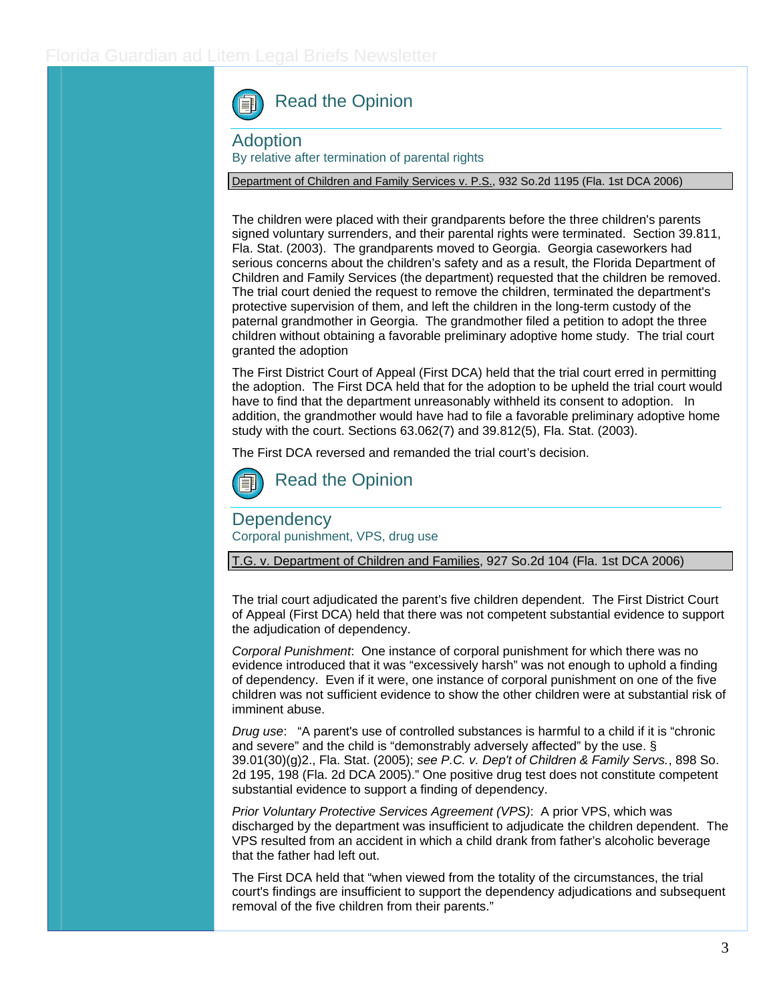[Read the Opinion](http://www.3dca.flcourts.org/) 

Adoption

By relative after termination of parental rights

Department of Children and Family Services v. P.S., 932 So.2d 1195 (Fla. 1st DCA 2006)

The children were placed with their grandparents before the three children's parents signed voluntary surrenders, and their parental rights were terminated. Section 39.811, Fla. Stat. (2003). The grandparents moved to Georgia. Georgia caseworkers had serious concerns about the children's safety and as a result, the Florida Department of Children and Family Services (the department) requested that the children be removed. The trial court denied the request to remove the children, terminated the department's protective supervision of them, and left the children in the long-term custody of the paternal grandmother in Georgia. The grandmother filed a petition to adopt the three children without obtaining a favorable preliminary adoptive home study. The trial court granted the adoption

The First District Court of Appeal (First DCA) held that the trial court erred in permitting the adoption. The First DCA held that for the adoption to be upheld the trial court would have to find that the department unreasonably withheld its consent to adoption. In addition, the grandmother would have had to file a favorable preliminary adoptive home study with the court. Sections 63.062(7) and 39.812(5), Fla. Stat. (2003).

The First DCA reversed and remanded the trial court's decision.



[Read the Opinion](http://opinions.1dca.org/written/opinions2006/7-03-06/05-4421.pdf) 

**Dependency** Corporal punishment, VPS, drug use

T.G. v. Department of Children and Families, 927 So.2d 104 (Fla. 1st DCA 2006)

The trial court adjudicated the parent's five children dependent. The First District Court of Appeal (First DCA) held that there was not competent substantial evidence to support the adjudication of dependency.

*Corporal Punishment*: One instance of corporal punishment for which there was no evidence introduced that it was "excessively harsh" was not enough to uphold a finding of dependency. Even if it were, one instance of corporal punishment on one of the five children was not sufficient evidence to show the other children were at substantial risk of imminent abuse.

*Drug use*: "A parent's use of controlled substances is harmful to a child if it is "chronic and severe" and the child is "demonstrably adversely affected" by the use. § 39.01(30)(g)2., Fla. Stat. (2005); *see P.C. v. Dep't of Children & Family Servs.*, 898 So. 2d 195, 198 (Fla. 2d DCA 2005)." One positive drug test does not constitute competent substantial evidence to support a finding of dependency.

*Prior Voluntary Protective Services Agreement (VPS)*: A prior VPS, which was discharged by the department was insufficient to adjudicate the children dependent. The VPS resulted from an accident in which a child drank from father's alcoholic beverage that the father had left out.

The First DCA held that "when viewed from the totality of the circumstances, the trial court's findings are insufficient to support the dependency adjudications and subsequent removal of the five children from their parents."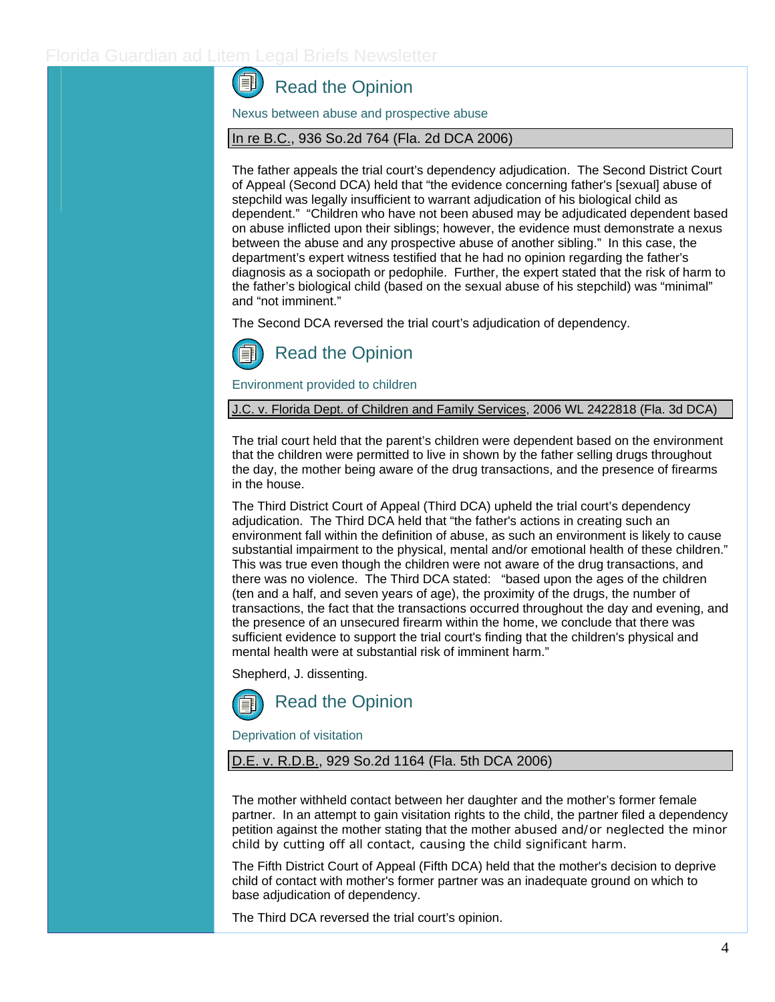#### **GEL** [Read the Opinion](http://opinions.1dca.org/written/opinions2006/4-18-06/05-5067.pdf)

Nexus between abuse and prospective abuse

#### In re B.C., 936 So.2d 764 (Fla. 2d DCA 2006)

The father appeals the trial court's dependency adjudication. The Second District Court of Appeal (Second DCA) held that "the evidence concerning father's [sexual] abuse of stepchild was legally insufficient to warrant adjudication of his biological child as dependent." "Children who have not been abused may be adjudicated dependent based on abuse inflicted upon their siblings; however, the evidence must demonstrate a nexus between the abuse and any prospective abuse of another sibling." In this case, the department's expert witness testified that he had no opinion regarding the father's diagnosis as a sociopath or pedophile. Further, the expert stated that the risk of harm to the father's biological child (based on the sexual abuse of his stepchild) was "minimal" and "not imminent."

The Second DCA reversed the trial court's adjudication of dependency.



Environment provided to children

J.C. v. Florida Dept. of Children and Family Services, 2006 WL 2422818 (Fla. 3d DCA)

The trial court held that the parent's children were dependent based on the environment that the children were permitted to live in shown by the father selling drugs throughout the day, the mother being aware of the drug transactions, and the presence of firearms in the house.

The Third District Court of Appeal (Third DCA) upheld the trial court's dependency adjudication. The Third DCA held that "the father's actions in creating such an environment fall within the definition of abuse, as such an environment is likely to cause substantial impairment to the physical, mental and/or emotional health of these children." This was true even though the children were not aware of the drug transactions, and there was no violence. The Third DCA stated: "based upon the ages of the children (ten and a half, and seven years of age), the proximity of the drugs, the number of transactions, the fact that the transactions occurred throughout the day and evening, and the presence of an unsecured firearm within the home, we conclude that there was sufficient evidence to support the trial court's finding that the children's physical and mental health were at substantial risk of imminent harm."

Shepherd, J. dissenting.



Deprivation of visitation

### D.E. v. R.D.B., 929 So.2d 1164 (Fla. 5th DCA 2006)

The mother withheld contact between her daughter and the mother's former female partner. In an attempt to gain visitation rights to the child, the partner filed a dependency petition against the mother stating that the mother abused and/or neglected the minor child by cutting off all contact, causing the child significant harm.

The Fifth District Court of Appeal (Fifth DCA) held that the mother's decision to deprive child of contact with mother's former partner was an inadequate ground on which to base adjudication of dependency.

The Third DCA reversed the trial court's opinion.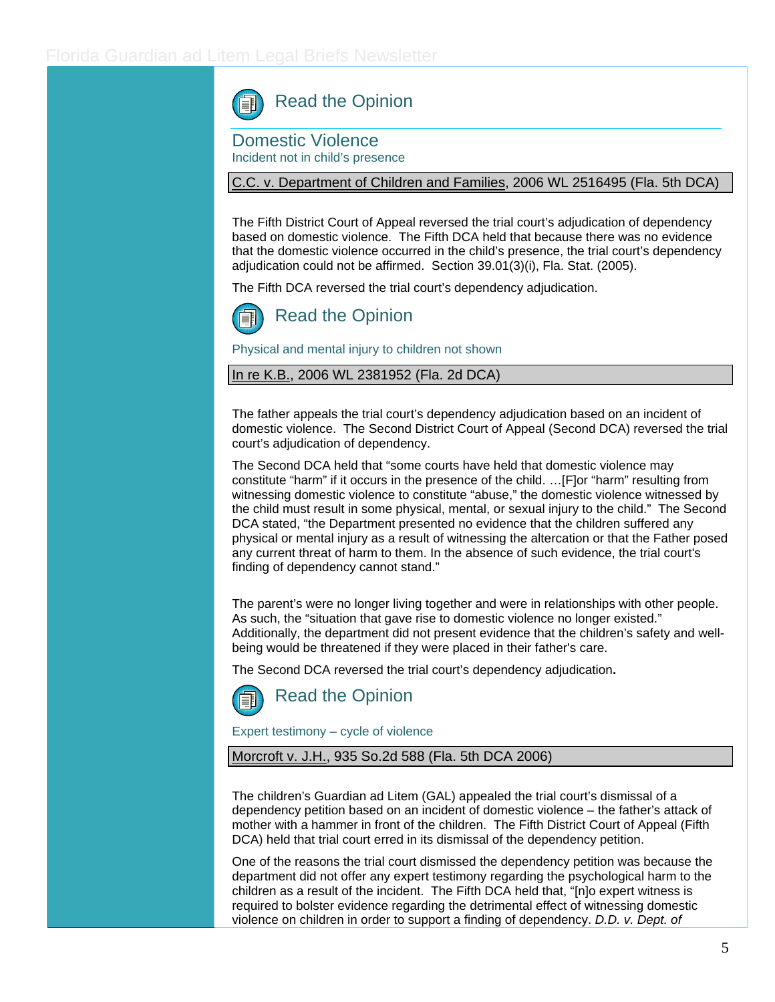Read the Opinion

Domestic Violence Incident not in child's presence

#### C.C. v. Department of Children and Families, 2006 WL 2516495 (Fla. 5th DCA)

The Fifth District Court of Appeal reversed the trial court's adjudication of dependency based on domestic violence. The Fifth DCA held that because there was no evidence that the domestic violence occurred in the child's presence, the trial court's dependency adjudication could not be affirmed. Section 39.01(3)(i), Fla. Stat. (2005).

The Fifth DCA reversed the trial court's dependency adjudication.



# [Read the Opinion](http://www.5dca.org/Opinions/Opin2006/082806/5D06-1272.op.pdf)

Physical and mental injury to children not shown

#### In re K.B., 2006 WL 2381952 (Fla. 2d DCA)

The father appeals the trial court's dependency adjudication based on an incident of domestic violence. The Second District Court of Appeal (Second DCA) reversed the trial court's adjudication of dependency.

The Second DCA held that "some courts have held that domestic violence may constitute "harm" if it occurs in the presence of the child. …[F]or "harm" resulting from witnessing domestic violence to constitute "abuse," the domestic violence witnessed by the child must result in some physical, mental, or sexual injury to the child." The Second DCA stated, "the Department presented no evidence that the children suffered any physical or mental injury as a result of witnessing the altercation or that the Father posed any current threat of harm to them. In the absence of such evidence, the trial court's finding of dependency cannot stand."

The parent's were no longer living together and were in relationships with other people. As such, the "situation that gave rise to domestic violence no longer existed." Additionally, the department did not present evidence that the children's safety and wellbeing would be threatened if they were placed in their father's care.

The Second DCA reversed the trial court's dependency adjudication**.** 



[Read the Opinion](http://www.2dca.org/opinion/August%2018,%202006/2D05-4612.pdf) 

Expert testimony – cycle of violence

Morcroft v. J.H., 935 So.2d 588 (Fla. 5th DCA 2006)

The children's Guardian ad Litem (GAL) appealed the trial court's dismissal of a dependency petition based on an incident of domestic violence – the father's attack of mother with a hammer in front of the children. The Fifth District Court of Appeal (Fifth DCA) held that trial court erred in its dismissal of the dependency petition.

One of the reasons the trial court dismissed the dependency petition was because the department did not offer any expert testimony regarding the psychological harm to the children as a result of the incident. The Fifth DCA held that, "[n]o expert witness is required to bolster evidence regarding the detrimental effect of witnessing domestic violence on children in order to support a finding of dependency. *D.D. v. Dept. of*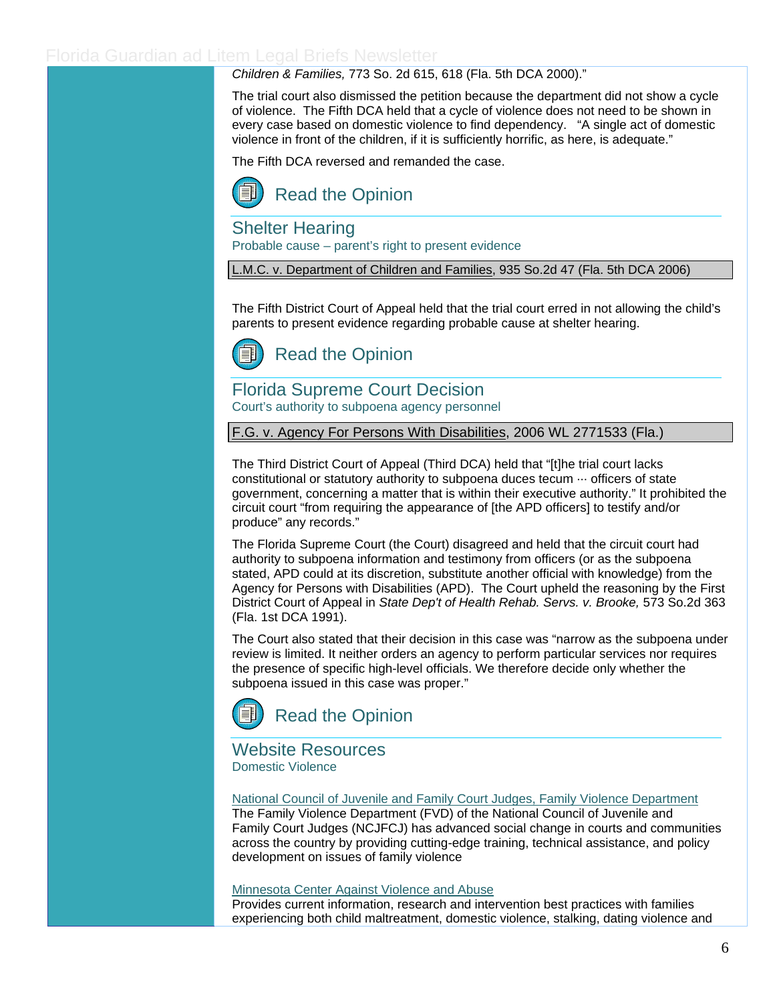### *Children & Families,* 773 So. 2d 615, 618 (Fla. 5th DCA 2000)."

The trial court also dismissed the petition because the department did not show a cycle of violence. The Fifth DCA held that a cycle of violence does not need to be shown in every case based on domestic violence to find dependency. "A single act of domestic violence in front of the children, if it is sufficiently horrific, as here, is adequate."

The Fifth DCA reversed and remanded the case.



Shelter Hearing

Probable cause – parent's right to present evidence

L.M.C. v. Department of Children and Families, 935 So.2d 47 (Fla. 5th DCA 2006)

The Fifth District Court of Appeal held that the trial court erred in not allowing the child's parents to present evidence regarding probable cause at shelter hearing.



# Florida Supreme Court Decision

Court's authority to subpoena agency personnel

F.G. v. Agency For Persons With Disabilities, 2006 WL 2771533 (Fla.)

The Third District Court of Appeal (Third DCA) held that "[t]he trial court lacks constitutional or statutory authority to subpoena duces tecum ··· officers of state government, concerning a matter that is within their executive authority." It prohibited the circuit court "from requiring the appearance of [the APD officers] to testify and/or produce" any records."

The Florida Supreme Court (the Court) disagreed and held that the circuit court had authority to subpoena information and testimony from officers (or as the subpoena stated, APD could at its discretion, substitute another official with knowledge) from the Agency for Persons with Disabilities (APD). The Court upheld the reasoning by the First District Court of Appeal in *State Dep't of Health Rehab. Servs. v. Brooke,* 573 So.2d 363 (Fla. 1st DCA 1991).

The Court also stated that their decision in this case was "narrow as the subpoena under review is limited. It neither orders an agency to perform particular services nor requires the presence of specific high-level officials. We therefore decide only whether the subpoena issued in this case was proper."



## [Read the Opinion](http://www.floridasupremecourt.org/decisions/2006/sc06-240.pdf)

Website Resources Domestic Violence

[National Council of Juvenile and Family Court Judges, Family Violence Department](http://www.ncjfcj.org/content/view/20/94/)

The Family Violence Department (FVD) of the National Council of Juvenile and Family Court Judges (NCJFCJ) has advanced social change in courts and communities across the country by providing cutting-edge training, technical assistance, and policy development on issues of family violence

#### [Minnesota Center Against Violence and Abuse](http://www.mincava.umn.edu/)

Provides current information, research and intervention best practices with families experiencing both child maltreatment, domestic violence, stalking, dating violence and